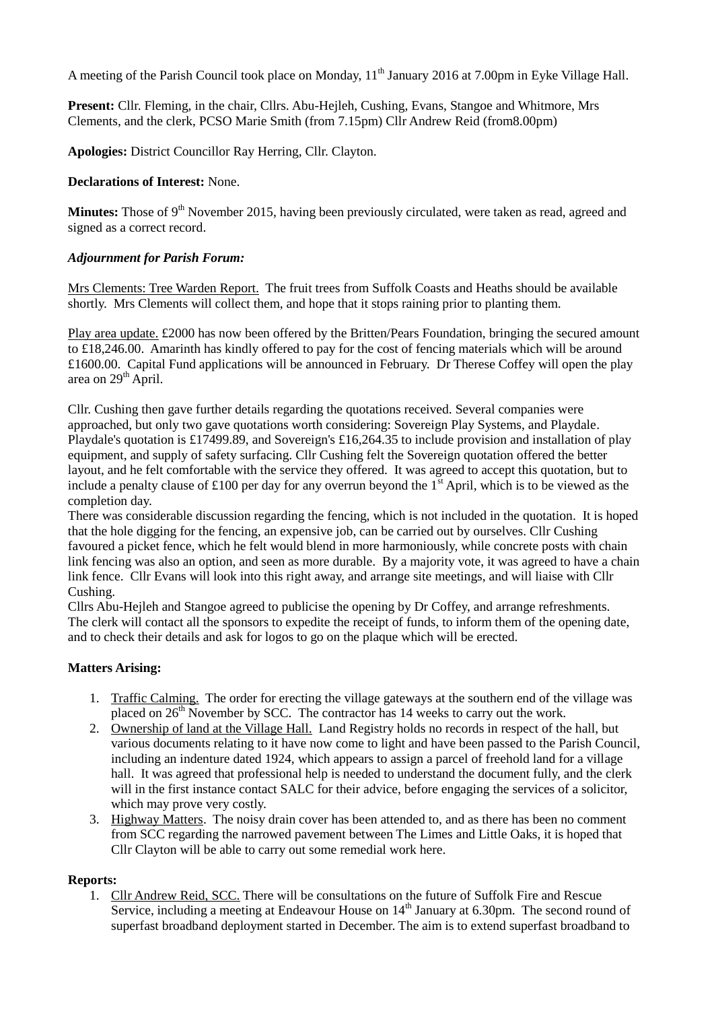A meeting of the Parish Council took place on Monday, 11<sup>th</sup> January 2016 at 7.00pm in Eyke Village Hall.

**Present:** Cllr. Fleming, in the chair, Cllrs. Abu-Hejleh, Cushing, Evans, Stangoe and Whitmore, Mrs Clements, and the clerk, PCSO Marie Smith (from 7.15pm) Cllr Andrew Reid (from8.00pm)

**Apologies:** District Councillor Ray Herring, Cllr. Clayton.

### **Declarations of Interest:** None.

**Minutes:** Those of 9<sup>th</sup> November 2015, having been previously circulated, were taken as read, agreed and signed as a correct record.

### *Adjournment for Parish Forum:*

Mrs Clements: Tree Warden Report. The fruit trees from Suffolk Coasts and Heaths should be available shortly. Mrs Clements will collect them, and hope that it stops raining prior to planting them.

Play area update. £2000 has now been offered by the Britten/Pears Foundation, bringing the secured amount to £18,246.00. Amarinth has kindly offered to pay for the cost of fencing materials which will be around £1600.00. Capital Fund applications will be announced in February. Dr Therese Coffey will open the play area on  $29<sup>th</sup>$  April.

Cllr. Cushing then gave further details regarding the quotations received. Several companies were approached, but only two gave quotations worth considering: Sovereign Play Systems, and Playdale. Playdale's quotation is £17499.89, and Sovereign's £16,264.35 to include provision and installation of play equipment, and supply of safety surfacing. Cllr Cushing felt the Sovereign quotation offered the better layout, and he felt comfortable with the service they offered. It was agreed to accept this quotation, but to include a penalty clause of £100 per day for any overrun beyond the  $1<sup>st</sup>$  April, which is to be viewed as the completion day.

There was considerable discussion regarding the fencing, which is not included in the quotation. It is hoped that the hole digging for the fencing, an expensive job, can be carried out by ourselves. Cllr Cushing favoured a picket fence, which he felt would blend in more harmoniously, while concrete posts with chain link fencing was also an option, and seen as more durable. By a majority vote, it was agreed to have a chain link fence. Cllr Evans will look into this right away, and arrange site meetings, and will liaise with Cllr Cushing.

Cllrs Abu-Hejleh and Stangoe agreed to publicise the opening by Dr Coffey, and arrange refreshments. The clerk will contact all the sponsors to expedite the receipt of funds, to inform them of the opening date, and to check their details and ask for logos to go on the plaque which will be erected.

# **Matters Arising:**

- 1. Traffic Calming. The order for erecting the village gateways at the southern end of the village was placed on  $26<sup>th</sup>$  November by SCC. The contractor has 14 weeks to carry out the work.
- 2. Ownership of land at the Village Hall. Land Registry holds no records in respect of the hall, but various documents relating to it have now come to light and have been passed to the Parish Council, including an indenture dated 1924, which appears to assign a parcel of freehold land for a village hall. It was agreed that professional help is needed to understand the document fully, and the clerk will in the first instance contact SALC for their advice, before engaging the services of a solicitor, which may prove very costly.
- 3. Highway Matters. The noisy drain cover has been attended to, and as there has been no comment from SCC regarding the narrowed pavement between The Limes and Little Oaks, it is hoped that Cllr Clayton will be able to carry out some remedial work here.

#### **Reports:**

1. Cllr Andrew Reid, SCC. There will be consultations on the future of Suffolk Fire and Rescue Service, including a meeting at Endeavour House on  $14<sup>th</sup>$  January at 6.30pm. The second round of superfast broadband deployment started in December. The aim is to extend superfast broadband to